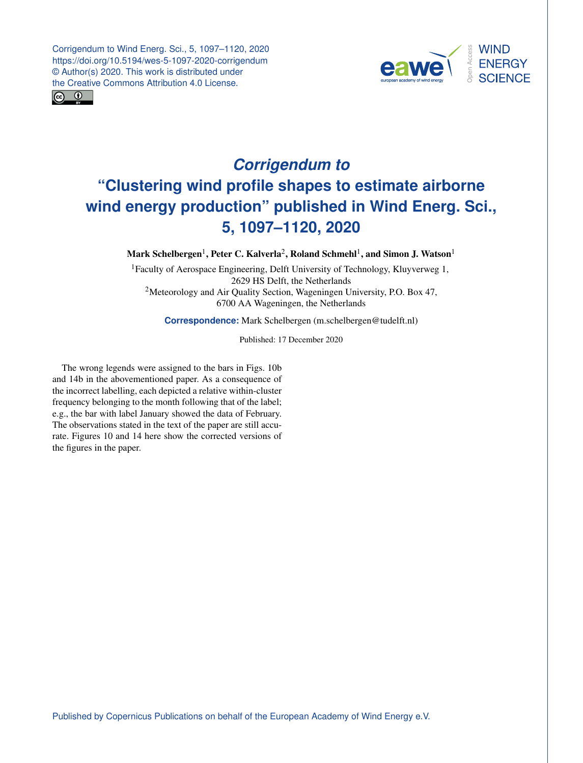Corrigendum to Wind Energ. Sci., 5, 1097–1120, 2020 https://doi.org/10.5194/wes-5-1097-2020-corrigendum © Author(s) 2020. This work is distributed under the Creative Commons Attribution 4.0 License.





## *Corrigendum to* **"Clustering wind profile shapes to estimate airborne wind energy production" published in Wind Energ. Sci., 5, 1097–1120, 2020**

Mark Schelbergen $^1$  $^1$ , Peter C. Kalverla $^2$  $^2$ , Roland Schmehl $^1$ , and Simon J. Watson $^1$ 

<sup>1</sup>Faculty of Aerospace Engineering, Delft University of Technology, Kluyverweg 1, 2629 HS Delft, the Netherlands <sup>2</sup>Meteorology and Air Quality Section, Wageningen University, P.O. Box 47, 6700 AA Wageningen, the Netherlands

**Correspondence:** Mark Schelbergen (m.schelbergen@tudelft.nl)

Published: 17 December 2020

<span id="page-0-0"></span>The wrong legends were assigned to the bars in Figs. 10b and 14b in the abovementioned paper. As a consequence of the incorrect labelling, each depicted a relative within-cluster frequency belonging to the month following that of the label; e.g., the bar with label January showed the data of February. The observations stated in the text of the paper are still accurate. Figures 10 and 14 here show the corrected versions of the figures in the paper.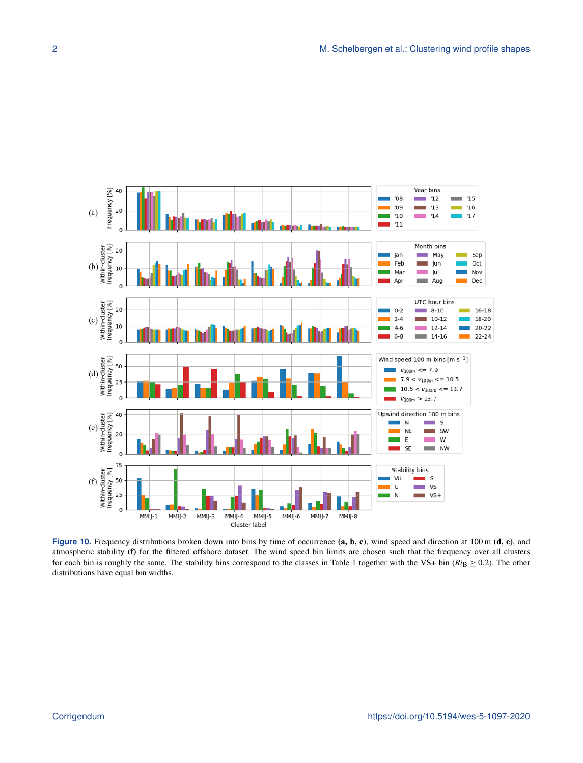

Figure 10. Frequency distributions broken down into bins by time of occurrence (a, b, c), wind speed and direction at 100 m (d, e), and atmospheric stability (f) for the filtered offshore dataset. The wind speed bin limits are chosen such that the frequency over all clusters for each bin is roughly the same. The stability bins correspond to the classes in Table 1 together with the VS+ bin  $(Ri_B \ge 0.2)$ . The other distributions have equal bin widths.